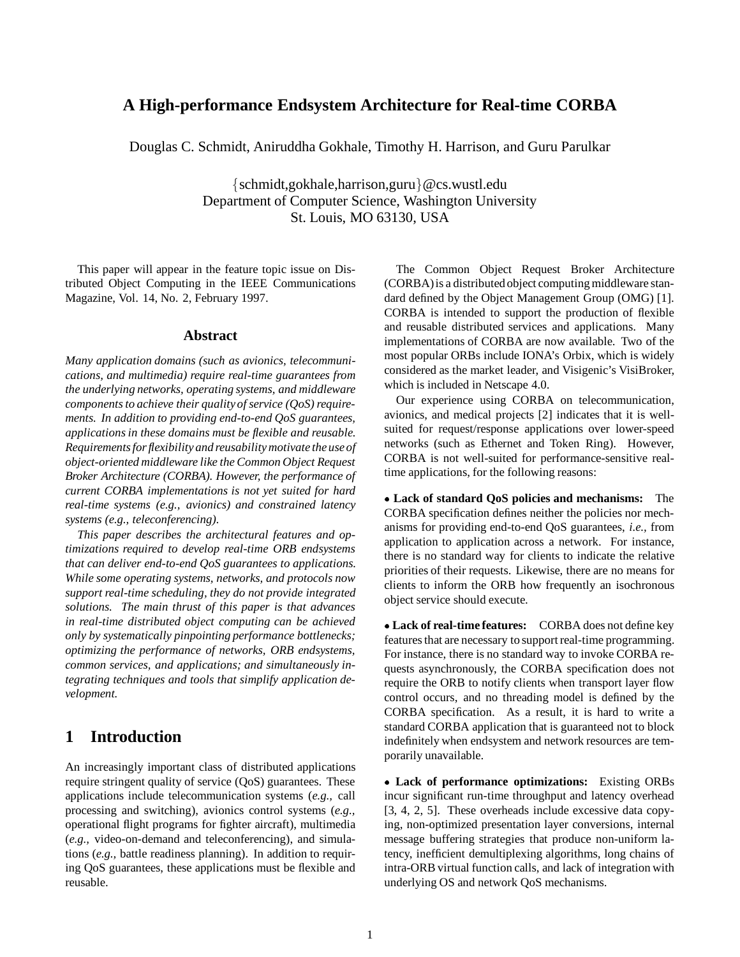## **A High-performance Endsystem Architecture for Real-time CORBA**

Douglas C. Schmidt, Aniruddha Gokhale, Timothy H. Harrison, and Guru Parulkar

 $\{schmidt, gokhale, harrison, guru\} @cs.wust.$ edu Department of Computer Science, Washington University St. Louis, MO 63130, USA

This paper will appear in the feature topic issue on Distributed Object Computing in the IEEE Communications Magazine, Vol. 14, No. 2, February 1997.

#### **Abstract**

*Many application domains (such as avionics, telecommunications, and multimedia) require real-time guarantees from the underlying networks, operating systems, and middleware components to achieve their quality of service (QoS) requirements. In addition to providing end-to-end QoS guarantees, applications in these domains must be flexible and reusable. Requirements for flexibility and reusability motivate the use of object-oriented middleware like the Common Object Request Broker Architecture (CORBA). However, the performance of current CORBA implementations is not yet suited for hard real-time systems (e.g., avionics) and constrained latency systems (e.g., teleconferencing).*

*This paper describes the architectural features and optimizations required to develop real-time ORB endsystems that can deliver end-to-end QoS guarantees to applications. While some operating systems, networks, and protocols now support real-time scheduling, they do not provide integrated solutions. The main thrust of this paper is that advances in real-time distributed object computing can be achieved only by systematically pinpointing performance bottlenecks; optimizing the performance of networks, ORB endsystems, common services, and applications; and simultaneously integrating techniques and tools that simplify application development.*

## **1 Introduction**

An increasingly important class of distributed applications require stringent quality of service (QoS) guarantees. These applications include telecommunication systems (*e.g.,* call processing and switching), avionics control systems (*e.g.,* operational flight programs for fighter aircraft), multimedia (*e.g.,* video-on-demand and teleconferencing), and simulations (*e.g.,* battle readiness planning). In addition to requiring QoS guarantees, these applications must be flexible and reusable.

The Common Object Request Broker Architecture (CORBA)is a distributedobject computing middleware standard defined by the Object Management Group (OMG) [1]. CORBA is intended to support the production of flexible and reusable distributed services and applications. Many implementations of CORBA are now available. Two of the most popular ORBs include IONA's Orbix, which is widely considered as the market leader, and Visigenic's VisiBroker, which is included in Netscape 4.0.

Our experience using CORBA on telecommunication, avionics, and medical projects [2] indicates that it is wellsuited for request/response applications over lower-speed networks (such as Ethernet and Token Ring). However, CORBA is not well-suited for performance-sensitive realtime applications, for the following reasons:

 **Lack of standard QoS policies and mechanisms:** The CORBA specification defines neither the policies nor mechanisms for providing end-to-end QoS guarantees, *i.e.,* from application to application across a network. For instance, there is no standard way for clients to indicate the relative priorities of their requests. Likewise, there are no means for clients to inform the ORB how frequently an isochronous object service should execute.

 **Lack of real-time features:** CORBA does not define key features that are necessary to support real-time programming. For instance, there is no standard way to invoke CORBA requests asynchronously, the CORBA specification does not require the ORB to notify clients when transport layer flow control occurs, and no threading model is defined by the CORBA specification. As a result, it is hard to write a standard CORBA application that is guaranteed not to block indefinitely when endsystem and network resources are temporarily unavailable.

 **Lack of performance optimizations:** Existing ORBs incur significant run-time throughput and latency overhead [3, 4, 2, 5]. These overheads include excessive data copying, non-optimized presentation layer conversions, internal message buffering strategies that produce non-uniform latency, inefficient demultiplexing algorithms, long chains of intra-ORB virtual function calls, and lack of integration with underlying OS and network QoS mechanisms.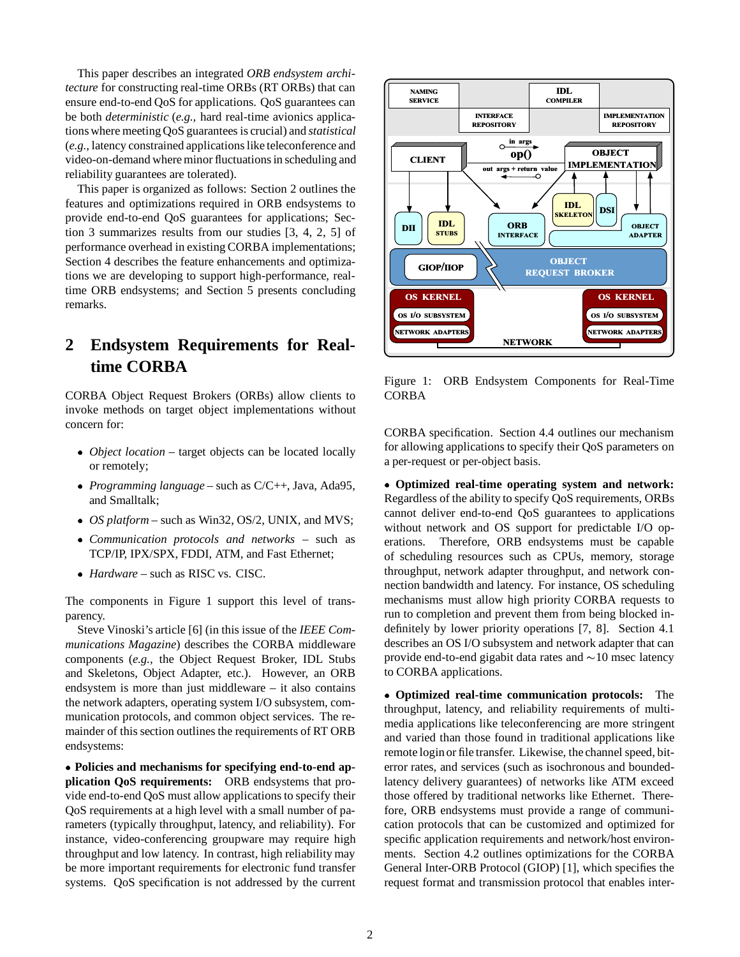This paper describes an integrated *ORB endsystem architecture* for constructing real-time ORBs (RT ORBs) that can ensure end-to-end QoS for applications. QoS guarantees can be both *deterministic* (*e.g.,* hard real-time avionics applications where meeting QoS guarantees is crucial) and *statistical* (*e.g.,* latency constrained applications like teleconference and video-on-demand where minor fluctuations in scheduling and reliability guarantees are tolerated).

This paper is organized as follows: Section 2 outlines the features and optimizations required in ORB endsystems to provide end-to-end QoS guarantees for applications; Section 3 summarizes results from our studies [3, 4, 2, 5] of performance overhead in existing CORBA implementations; Section 4 describes the feature enhancements and optimizations we are developing to support high-performance, realtime ORB endsystems; and Section 5 presents concluding remarks.

# **2 Endsystem Requirements for Realtime CORBA**

CORBA Object Request Brokers (ORBs) allow clients to invoke methods on target object implementations without concern for:

- *Object location* target objects can be located locally or remotely;
- *Programming language* such as C/C++, Java, Ada95, and Smalltalk;
- *OS platform* such as Win32, OS/2, UNIX, and MVS;
- *Communication protocols and networks* such as TCP/IP, IPX/SPX, FDDI, ATM, and Fast Ethernet;
- *Hardware* such as RISC vs. CISC.

The components in Figure 1 support this level of transparency.

Steve Vinoski's article [6] (in this issue of the *IEEE Communications Magazine*) describes the CORBA middleware components (*e.g.,* the Object Request Broker, IDL Stubs and Skeletons, Object Adapter, etc.). However, an ORB endsystem is more than just middleware – it also contains the network adapters, operating system I/O subsystem, communication protocols, and common object services. The remainder of this section outlines the requirements of RT ORB endsystems:

 **Policies and mechanisms for specifying end-to-end application QoS requirements:** ORB endsystems that provide end-to-end QoS must allow applications to specify their QoS requirements at a high level with a small number of parameters (typically throughput, latency, and reliability). For instance, video-conferencing groupware may require high throughput and low latency. In contrast, high reliability may be more important requirements for electronic fund transfer systems. QoS specification is not addressed by the current



Figure 1: ORB Endsystem Components for Real-Time CORBA

CORBA specification. Section 4.4 outlines our mechanism for allowing applications to specify their QoS parameters on a per-request or per-object basis.

 **Optimized real-time operating system and network:** Regardless of the ability to specify QoS requirements, ORBs cannot deliver end-to-end QoS guarantees to applications without network and OS support for predictable I/O operations. Therefore, ORB endsystems must be capable of scheduling resources such as CPUs, memory, storage throughput, network adapter throughput, and network connection bandwidth and latency. For instance, OS scheduling mechanisms must allow high priority CORBA requests to run to completion and prevent them from being blocked indefinitely by lower priority operations [7, 8]. Section 4.1 describes an OS I/O subsystem and network adapter that can provide end-to-end gigabit data rates and  $\sim$ 10 msec latency to CORBA applications.

 **Optimized real-time communication protocols:** The throughput, latency, and reliability requirements of multimedia applications like teleconferencing are more stringent and varied than those found in traditional applications like remote loginor file transfer. Likewise, the channel speed, biterror rates, and services (such as isochronous and boundedlatency delivery guarantees) of networks like ATM exceed those offered by traditional networks like Ethernet. Therefore, ORB endsystems must provide a range of communication protocols that can be customized and optimized for specific application requirements and network/host environments. Section 4.2 outlines optimizations for the CORBA General Inter-ORB Protocol (GIOP) [1], which specifies the request format and transmission protocol that enables inter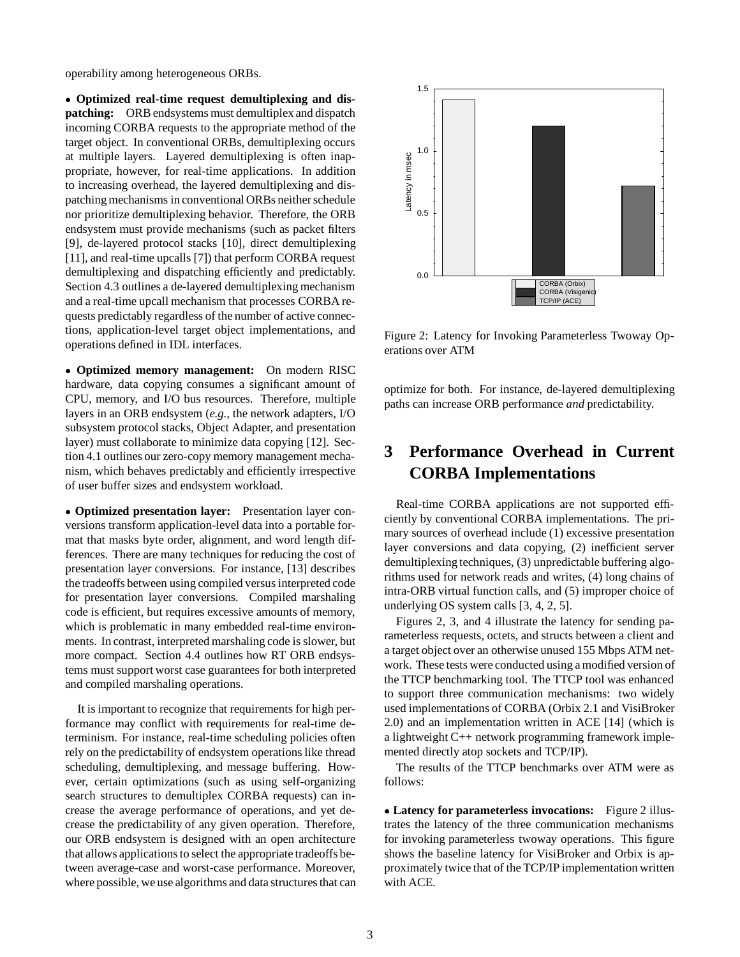operability among heterogeneous ORBs.

 **Optimized real-time request demultiplexing and dispatching:** ORB endsystems must demultiplex and dispatch incoming CORBA requests to the appropriate method of the target object. In conventional ORBs, demultiplexing occurs at multiple layers. Layered demultiplexing is often inappropriate, however, for real-time applications. In addition to increasing overhead, the layered demultiplexing and dispatching mechanisms in conventional ORBs neither schedule nor prioritize demultiplexing behavior. Therefore, the ORB endsystem must provide mechanisms (such as packet filters [9], de-layered protocol stacks [10], direct demultiplexing [11], and real-time upcalls [7]) that perform CORBA request demultiplexing and dispatching efficiently and predictably. Section 4.3 outlines a de-layered demultiplexing mechanism and a real-time upcall mechanism that processes CORBA requests predictably regardless of the number of active connections, application-level target object implementations, and operations defined in IDL interfaces.

 **Optimized memory management:** On modern RISC hardware, data copying consumes a significant amount of CPU, memory, and I/O bus resources. Therefore, multiple layers in an ORB endsystem (*e.g.,* the network adapters, I/O subsystem protocol stacks, Object Adapter, and presentation layer) must collaborate to minimize data copying [12]. Section 4.1 outlines our zero-copy memory management mechanism, which behaves predictably and efficiently irrespective of user buffer sizes and endsystem workload.

 **Optimized presentation layer:** Presentation layer conversions transform application-level data into a portable format that masks byte order, alignment, and word length differences. There are many techniques for reducing the cost of presentation layer conversions. For instance, [13] describes the tradeoffs between using compiled versus interpreted code for presentation layer conversions. Compiled marshaling code is efficient, but requires excessive amounts of memory, which is problematic in many embedded real-time environments. In contrast, interpreted marshaling code is slower, but more compact. Section 4.4 outlines how RT ORB endsystems must support worst case guarantees for both interpreted and compiled marshaling operations.

It is important to recognize that requirements for high performance may conflict with requirements for real-time determinism. For instance, real-time scheduling policies often rely on the predictability of endsystem operations like thread scheduling, demultiplexing, and message buffering. However, certain optimizations (such as using self-organizing search structures to demultiplex CORBA requests) can increase the average performance of operations, and yet decrease the predictability of any given operation. Therefore, our ORB endsystem is designed with an open architecture that allows applications to select the appropriate tradeoffs between average-case and worst-case performance. Moreover, where possible, we use algorithms and data structures that can



Figure 2: Latency for Invoking Parameterless Twoway Operations over ATM

optimize for both. For instance, de-layered demultiplexing paths can increase ORB performance *and* predictability.

## **3 Performance Overhead in Current CORBA Implementations**

Real-time CORBA applications are not supported efficiently by conventional CORBA implementations. The primary sources of overhead include (1) excessive presentation layer conversions and data copying, (2) inefficient server demultiplexing techniques, (3) unpredictable buffering algorithms used for network reads and writes, (4) long chains of intra-ORB virtual function calls, and (5) improper choice of underlying OS system calls [3, 4, 2, 5].

Figures 2, 3, and 4 illustrate the latency for sending parameterless requests, octets, and structs between a client and a target object over an otherwise unused 155 Mbps ATM network. These tests were conducted using a modified version of the TTCP benchmarking tool. The TTCP tool was enhanced to support three communication mechanisms: two widely used implementations of CORBA (Orbix 2.1 and VisiBroker 2.0) and an implementation written in ACE [14] (which is a lightweight C++ network programming framework implemented directly atop sockets and TCP/IP).

The results of the TTCP benchmarks over ATM were as follows:

 **Latency for parameterless invocations:** Figure 2 illustrates the latency of the three communication mechanisms for invoking parameterless twoway operations. This figure shows the baseline latency for VisiBroker and Orbix is approximately twice that of the TCP/IP implementation written with ACE.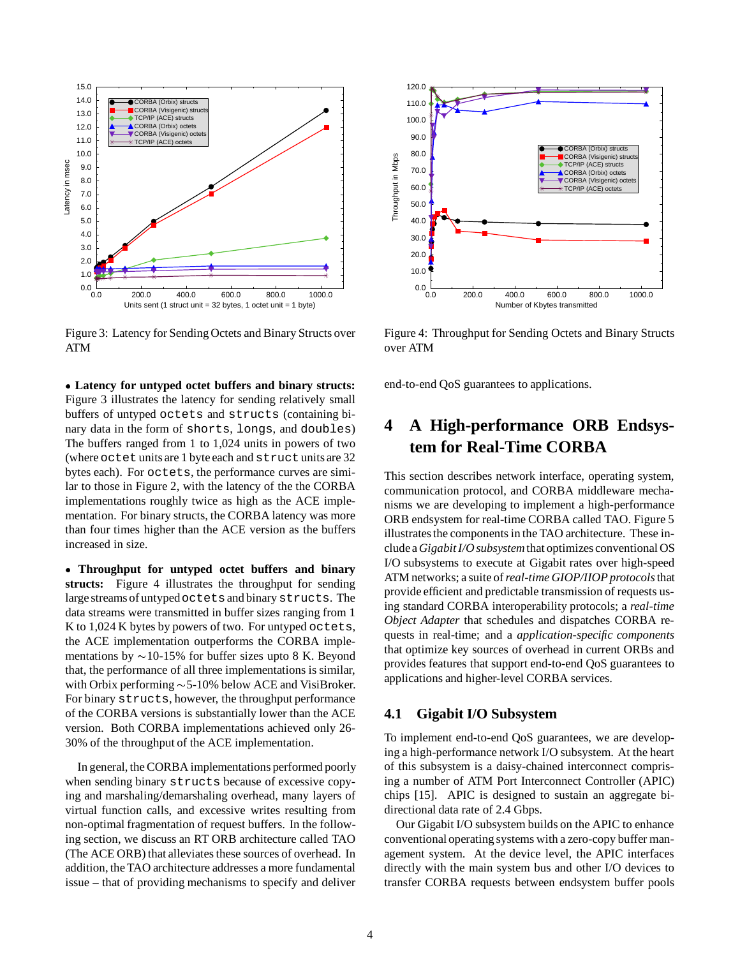

Figure 3: Latency for Sending Octets and Binary Structs over ATM

 **Latency for untyped octet buffers and binary structs:** Figure 3 illustrates the latency for sending relatively small buffers of untyped octets and structs (containing binary data in the form of shorts, longs, and doubles) The buffers ranged from 1 to 1,024 units in powers of two (where octet units are 1 byte each and structunits are 32 bytes each). For octets, the performance curves are similar to those in Figure 2, with the latency of the the CORBA implementations roughly twice as high as the ACE implementation. For binary structs, the CORBA latency was more than four times higher than the ACE version as the buffers increased in size.

 **Throughput for untyped octet buffers and binary structs:** Figure 4 illustrates the throughput for sending large streams of untypedoctetsand binarystructs. The data streams were transmitted in buffer sizes ranging from 1 K to 1,024 K bytes by powers of two. For untyped octets, the ACE implementation outperforms the CORBA implementations by  $\sim$  10-15% for buffer sizes upto 8 K. Beyond that, the performance of all three implementations is similar, with Orbix performing  $\sim$  5-10% below ACE and VisiBroker. For binary structs, however, the throughput performance of the CORBA versions is substantially lower than the ACE version. Both CORBA implementations achieved only 26- 30% of the throughput of the ACE implementation.

In general, the CORBA implementations performed poorly when sending binary structs because of excessive copying and marshaling/demarshaling overhead, many layers of virtual function calls, and excessive writes resulting from non-optimal fragmentation of request buffers. In the following section, we discuss an RT ORB architecture called TAO (The ACE ORB) that alleviates these sources of overhead. In addition, the TAO architecture addresses a more fundamental issue – that of providing mechanisms to specify and deliver



Figure 4: Throughput for Sending Octets and Binary Structs over ATM

end-to-end QoS guarantees to applications.

# **4 A High-performance ORB Endsystem for Real-Time CORBA**

This section describes network interface, operating system, communication protocol, and CORBA middleware mechanisms we are developing to implement a high-performance ORB endsystem for real-time CORBA called TAO. Figure 5 illustrates the components in the TAO architecture. These include a*Gigabit I/O subsystem*that optimizes conventional OS I/O subsystems to execute at Gigabit rates over high-speed ATM networks; a suite of*real-time GIOP/IIOP protocols*that provide efficient and predictable transmission of requests using standard CORBA interoperability protocols; a *real-time Object Adapter* that schedules and dispatches CORBA requests in real-time; and a *application-specific components* that optimize key sources of overhead in current ORBs and provides features that support end-to-end QoS guarantees to applications and higher-level CORBA services.

#### **4.1 Gigabit I/O Subsystem**

To implement end-to-end QoS guarantees, we are developing a high-performance network I/O subsystem. At the heart of this subsystem is a daisy-chained interconnect comprising a number of ATM Port Interconnect Controller (APIC) chips [15]. APIC is designed to sustain an aggregate bidirectional data rate of 2.4 Gbps.

Our Gigabit I/O subsystem builds on the APIC to enhance conventional operating systems with a zero-copy buffer management system. At the device level, the APIC interfaces directly with the main system bus and other I/O devices to transfer CORBA requests between endsystem buffer pools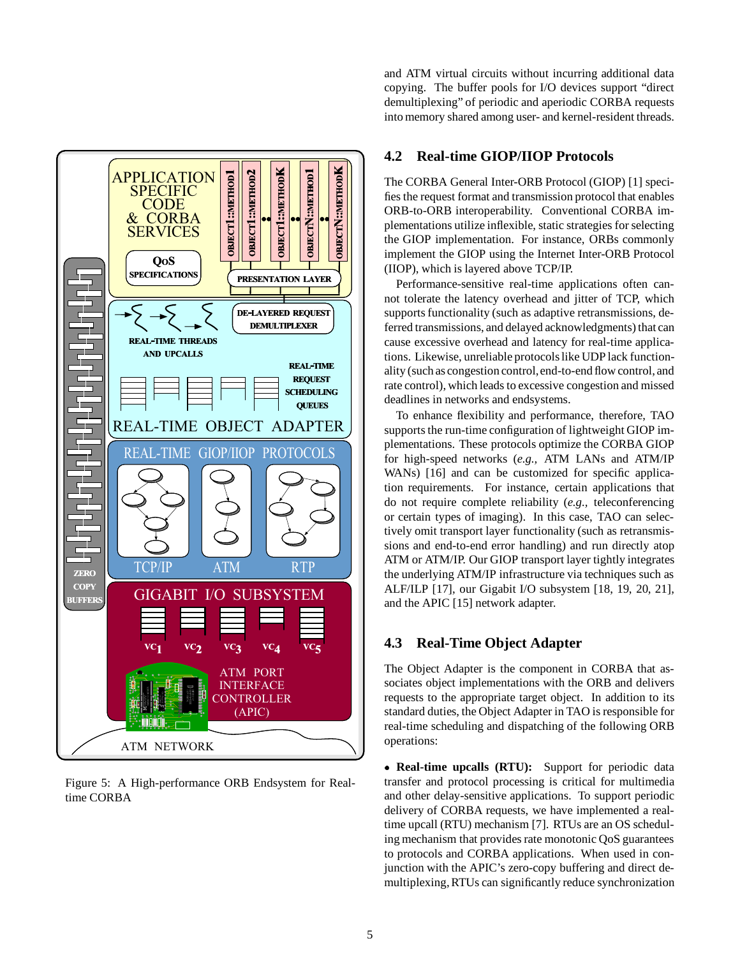

Figure 5: A High-performance ORB Endsystem for Realtime CORBA

and ATM virtual circuits without incurring additional data copying. The buffer pools for I/O devices support "direct demultiplexing" of periodic and aperiodic CORBA requests into memory shared among user- and kernel-resident threads.

#### **4.2 Real-time GIOP/IIOP Protocols**

The CORBA General Inter-ORB Protocol (GIOP) [1] specifies the request format and transmission protocol that enables ORB-to-ORB interoperability. Conventional CORBA implementations utilize inflexible, static strategies for selecting the GIOP implementation. For instance, ORBs commonly implement the GIOP using the Internet Inter-ORB Protocol (IIOP), which is layered above TCP/IP.

Performance-sensitive real-time applications often cannot tolerate the latency overhead and jitter of TCP, which supports functionality (such as adaptive retransmissions, deferred transmissions, and delayed acknowledgments) that can cause excessive overhead and latency for real-time applications. Likewise, unreliable protocols like UDP lack functionality (such as congestion control,end-to-end flow control, and rate control), which leads to excessive congestion and missed deadlines in networks and endsystems.

To enhance flexibility and performance, therefore, TAO supports the run-time configuration of lightweight GIOP implementations. These protocols optimize the CORBA GIOP for high-speed networks (*e.g.,* ATM LANs and ATM/IP WANs) [16] and can be customized for specific application requirements. For instance, certain applications that do not require complete reliability (*e.g.,* teleconferencing or certain types of imaging). In this case, TAO can selectively omit transport layer functionality (such as retransmissions and end-to-end error handling) and run directly atop ATM or ATM/IP. Our GIOP transport layer tightly integrates the underlying ATM/IP infrastructure via techniques such as ALF/ILP [17], our Gigabit I/O subsystem [18, 19, 20, 21], and the APIC [15] network adapter.

#### **4.3 Real-Time Object Adapter**

The Object Adapter is the component in CORBA that associates object implementations with the ORB and delivers requests to the appropriate target object. In addition to its standard duties, the Object Adapter in TAO is responsible for real-time scheduling and dispatching of the following ORB operations:

 **Real-time upcalls (RTU):** Support for periodic data transfer and protocol processing is critical for multimedia and other delay-sensitive applications. To support periodic delivery of CORBA requests, we have implemented a realtime upcall (RTU) mechanism [7]. RTUs are an OS scheduling mechanism that provides rate monotonic QoS guarantees to protocols and CORBA applications. When used in conjunction with the APIC's zero-copy buffering and direct demultiplexing, RTUs can significantly reduce synchronization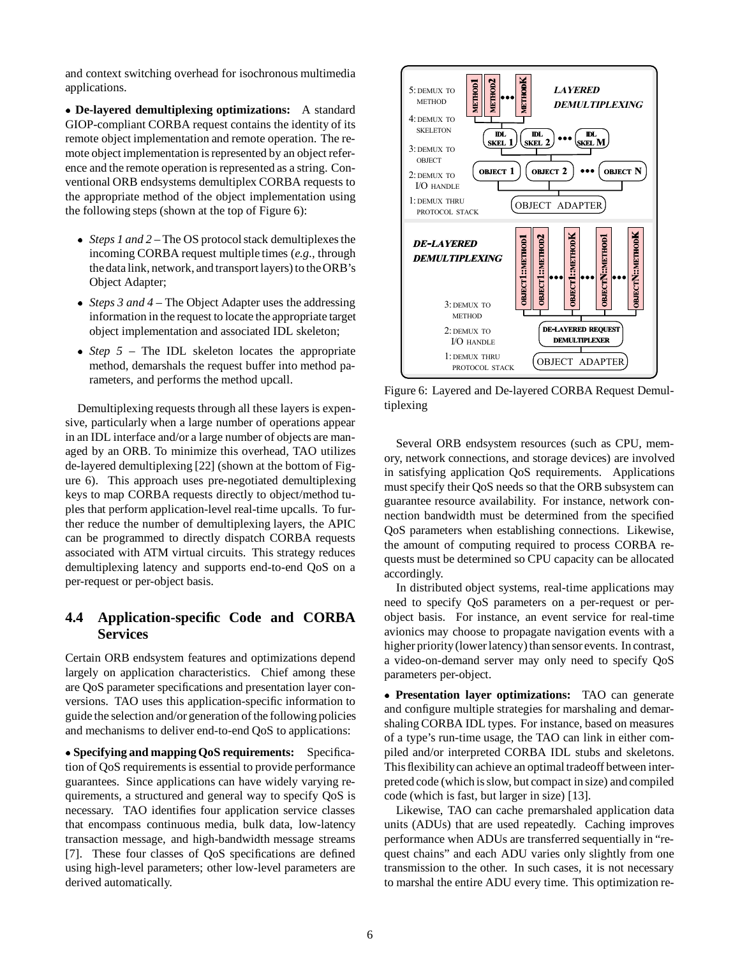and context switching overhead for isochronous multimedia applications.

 **De-layered demultiplexing optimizations:** A standard GIOP-compliant CORBA request contains the identity of its remote object implementation and remote operation. The remote object implementation is represented by an object reference and the remote operation is represented as a string. Conventional ORB endsystems demultiplex CORBA requests to the appropriate method of the object implementation using the following steps (shown at the top of Figure 6):

- *Steps 1 and 2* The OS protocol stack demultiplexes the incoming CORBA request multiple times (*e.g.,* through the data link, network, and transport layers) to the ORB's Object Adapter;
- *Steps 3 and 4* The Object Adapter uses the addressing information in the request to locate the appropriate target object implementation and associated IDL skeleton;
- *Step 5* The IDL skeleton locates the appropriate method, demarshals the request buffer into method parameters, and performs the method upcall.

Demultiplexing requests through all these layers is expensive, particularly when a large number of operations appear in an IDL interface and/or a large number of objects are managed by an ORB. To minimize this overhead, TAO utilizes de-layered demultiplexing [22] (shown at the bottom of Figure 6). This approach uses pre-negotiated demultiplexing keys to map CORBA requests directly to object/method tuples that perform application-level real-time upcalls. To further reduce the number of demultiplexing layers, the APIC can be programmed to directly dispatch CORBA requests associated with ATM virtual circuits. This strategy reduces demultiplexing latency and supports end-to-end QoS on a per-request or per-object basis.

### **4.4 Application-specific Code and CORBA Services**

Certain ORB endsystem features and optimizations depend largely on application characteristics. Chief among these are QoS parameter specifications and presentation layer conversions. TAO uses this application-specific information to guide the selection and/or generation of the following policies and mechanisms to deliver end-to-end QoS to applications:

 **Specifying and mapping QoS requirements:** Specification of QoS requirements is essential to provide performance guarantees. Since applications can have widely varying requirements, a structured and general way to specify QoS is necessary. TAO identifies four application service classes that encompass continuous media, bulk data, low-latency transaction message, and high-bandwidth message streams [7]. These four classes of QoS specifications are defined using high-level parameters; other low-level parameters are derived automatically.



Figure 6: Layered and De-layered CORBA Request Demultiplexing

Several ORB endsystem resources (such as CPU, memory, network connections, and storage devices) are involved in satisfying application QoS requirements. Applications must specify their QoS needs so that the ORB subsystem can guarantee resource availability. For instance, network connection bandwidth must be determined from the specified QoS parameters when establishing connections. Likewise, the amount of computing required to process CORBA requests must be determined so CPU capacity can be allocated accordingly.

In distributed object systems, real-time applications may need to specify QoS parameters on a per-request or perobject basis. For instance, an event service for real-time avionics may choose to propagate navigation events with a higher priority (lower latency) than sensor events. In contrast, a video-on-demand server may only need to specify QoS parameters per-object.

 **Presentation layer optimizations:** TAO can generate and configure multiple strategies for marshaling and demarshaling CORBA IDL types. For instance, based on measures of a type's run-time usage, the TAO can link in either compiled and/or interpreted CORBA IDL stubs and skeletons. This flexibilitycan achieve an optimal tradeoff between interpreted code (which is slow, but compact in size) and compiled code (which is fast, but larger in size) [13].

Likewise, TAO can cache premarshaled application data units (ADUs) that are used repeatedly. Caching improves performance when ADUs are transferred sequentially in "request chains" and each ADU varies only slightly from one transmission to the other. In such cases, it is not necessary to marshal the entire ADU every time. This optimization re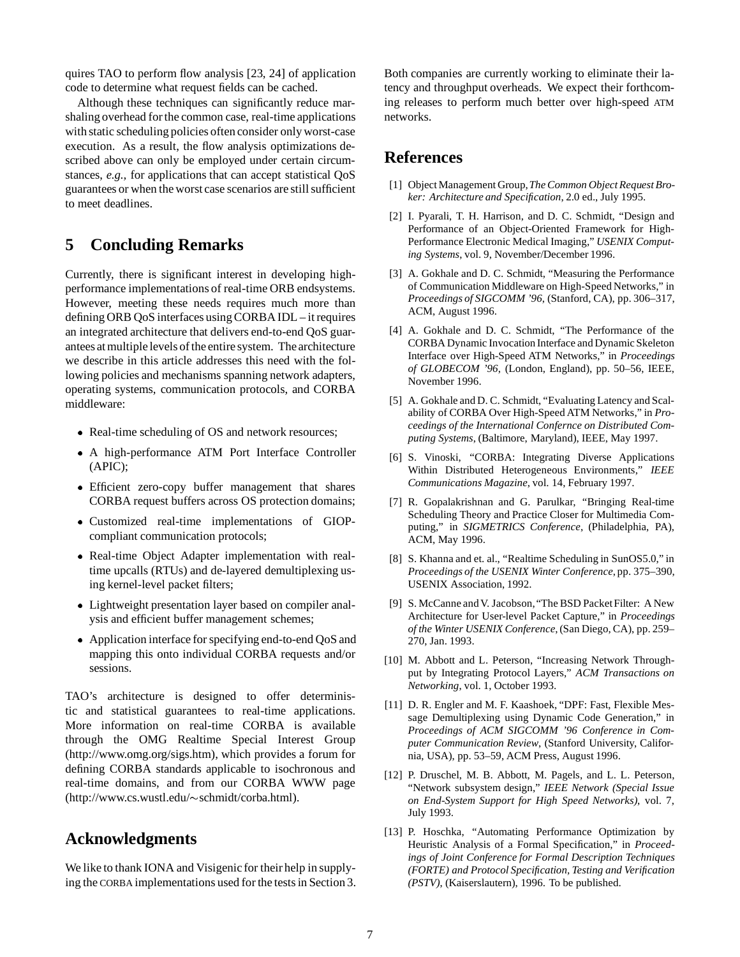quires TAO to perform flow analysis [23, 24] of application code to determine what request fields can be cached.

Although these techniques can significantly reduce marshaling overhead for the common case, real-time applications with static scheduling policies often consider only worst-case execution. As a result, the flow analysis optimizations described above can only be employed under certain circumstances, *e.g.,* for applications that can accept statistical QoS guarantees or when the worst case scenarios are still sufficient to meet deadlines.

## **5 Concluding Remarks**

Currently, there is significant interest in developing highperformance implementations of real-time ORB endsystems. However, meeting these needs requires much more than defining ORB QoS interfaces using CORBA IDL – it requires an integrated architecture that delivers end-to-end QoS guarantees at multiple levels of the entire system. The architecture we describe in this article addresses this need with the following policies and mechanisms spanning network adapters, operating systems, communication protocols, and CORBA middleware:

- Real-time scheduling of OS and network resources;
- A high-performance ATM Port Interface Controller (APIC);
- Efficient zero-copy buffer management that shares CORBA request buffers across OS protection domains;
- Customized real-time implementations of GIOPcompliant communication protocols;
- Real-time Object Adapter implementation with realtime upcalls (RTUs) and de-layered demultiplexing using kernel-level packet filters;
- Lightweight presentation layer based on compiler analysis and efficient buffer management schemes;
- Application interface for specifying end-to-end QoS and mapping this onto individual CORBA requests and/or sessions.

TAO's architecture is designed to offer deterministic and statistical guarantees to real-time applications. More information on real-time CORBA is available through the OMG Realtime Special Interest Group (http://www.omg.org/sigs.htm), which provides a forum for defining CORBA standards applicable to isochronous and real-time domains, and from our CORBA WWW page (http://www.cs.wustl.edu/~schmidt/corba.html).

## **Acknowledgments**

We like to thank IONA and Visigenic for their help in supplying the CORBA implementations used for the tests in Section 3. Both companies are currently working to eliminate their latency and throughput overheads. We expect their forthcoming releases to perform much better over high-speed ATM networks.

### **References**

- [1] Object Management Group,*The Common Object Request Broker: Architecture and Specification*, 2.0 ed., July 1995.
- [2] I. Pyarali, T. H. Harrison, and D. C. Schmidt, "Design and Performance of an Object-Oriented Framework for High-Performance Electronic Medical Imaging," *USENIX Computing Systems*, vol. 9, November/December 1996.
- [3] A. Gokhale and D. C. Schmidt, "Measuring the Performance of Communication Middleware on High-Speed Networks," in *Proceedings of SIGCOMM '96*, (Stanford, CA), pp. 306–317, ACM, August 1996.
- [4] A. Gokhale and D. C. Schmidt, "The Performance of the CORBA Dynamic Invocation Interface and Dynamic Skeleton Interface over High-Speed ATM Networks," in *Proceedings of GLOBECOM '96*, (London, England), pp. 50–56, IEEE, November 1996.
- [5] A. Gokhale and D. C. Schmidt, "Evaluating Latency and Scalability of CORBA Over High-Speed ATM Networks," in *Proceedings of the International Confernce on Distributed Computing Systems*, (Baltimore, Maryland), IEEE, May 1997.
- [6] S. Vinoski, "CORBA: Integrating Diverse Applications Within Distributed Heterogeneous Environments," *IEEE Communications Magazine*, vol. 14, February 1997.
- [7] R. Gopalakrishnan and G. Parulkar, "Bringing Real-time Scheduling Theory and Practice Closer for Multimedia Computing," in *SIGMETRICS Conference*, (Philadelphia, PA), ACM, May 1996.
- [8] S. Khanna and et. al., "Realtime Scheduling in SunOS5.0," in *Proceedings of the USENIX Winter Conference*, pp. 375–390, USENIX Association, 1992.
- [9] S. McCanne and V. Jacobson, "The BSD Packet Filter: A New Architecture for User-level Packet Capture," in *Proceedings of the Winter USENIX Conference*, (San Diego, CA), pp. 259– 270, Jan. 1993.
- [10] M. Abbott and L. Peterson, "Increasing Network Throughput by Integrating Protocol Layers," *ACM Transactions on Networking*, vol. 1, October 1993.
- [11] D. R. Engler and M. F. Kaashoek, "DPF: Fast, Flexible Message Demultiplexing using Dynamic Code Generation," in *Proceedings of ACM SIGCOMM '96 Conference in Computer Communication Review*, (Stanford University, California, USA), pp. 53–59, ACM Press, August 1996.
- [12] P. Druschel, M. B. Abbott, M. Pagels, and L. L. Peterson, "Network subsystem design," *IEEE Network (Special Issue on End-System Support for High Speed Networks)*, vol. 7, July 1993.
- [13] P. Hoschka, "Automating Performance Optimization by Heuristic Analysis of a Formal Specification," in *Proceedings of Joint Conference for Formal Description Techniques (FORTE) and Protocol Specification, Testing and Verification (PSTV)*, (Kaiserslautern), 1996. To be published.